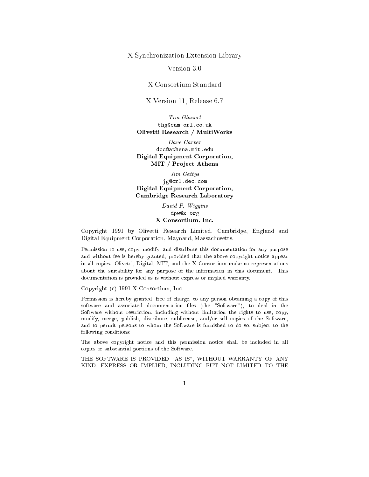<sup>X</sup> Syn
hronization Extension Library

Version 3.0

<sup>X</sup> Consortium Standard

<sup>X</sup> Version 11, Release 6.7

Tim Glauert thg@cam-orl.co.uk Olivetti Resear
h / MultiWorks

dcc@athena.mit.edu Digital Equipment Corporation, MIT / Proje
t Athena

Jim Gettys jg@crl.dec.com Digital Equipment Corporation, Cambridge Resear
h Laboratory

> David P. Wiggins dpw@x.org X Consortium, In
> .

Copyright 1991 by Olivetti Resear
h Limited, Cambridge, England and Digital Equipment Corporation, Maynard, Massa
husetts.

Permission to use, copy, modify, and distribute this documentation for any purpose and without fee is hereby granted, provided that the above opyright noti
e appear in all opies. Olivetti, Digital, MIT, and the X Consortium make no representations about the suitability for any purpose of the information in this document. This do
umentation is provided as is without express or implied warranty.

Copyright (
) 1991 X Consortium, In
.

Permission is hereby granted, free of charge, to any person obtaining a copy of this software and associated documentation files (the "Software"), to deal in the Software without restriction, including without limitation the rights to use, copy, modify, merge, publish, distribute, subli
ense, and/or sell opies of the Software, and to permit persons to whom the Software is furnished to do so, subject to the following onditions:

The above opyright noti
e and this permission noti
e shall be in
luded in all opies or substantial portions of the Software.

THE SOFTWARE IS PROVIDED "AS IS", WITHOUT WARRANTY OF ANY KIND, EXPRESS OR IMPLIED, INCLUDING BUT NOT LIMITED TO THE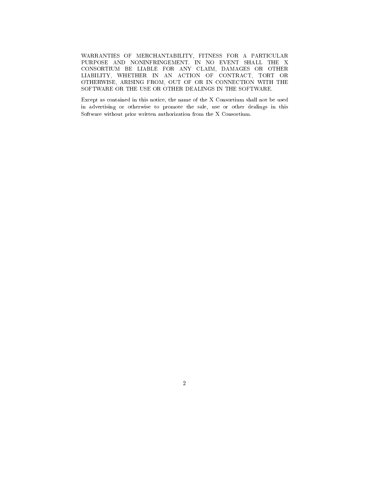WARRANTIES OF MERCHANTABILITY, FITNESS FOR A PARTICULAR PURPOSE AND NONINFRINGEMENT. IN NO EVENT SHALL THE X CONSORTIUM BE LIABLE FOR ANY CLAIM, DAMAGES OR OTHER LIABILITY, WHETHER IN AN ACTION OF CONTRACT, TORT OR OTHERWISE, ARISING FROM, OUT OF OR IN CONNECTION WITH THE SOFTWARE OR THE USE OR OTHER DEALINGS IN THE SOFTWARE.

Ex
ept as ontained in this noti
e, the name of the X Consortium shall not be used in advertising or otherwise to promote the sale, use or other dealings in this Software without prior written authorization from the X Consortium.

2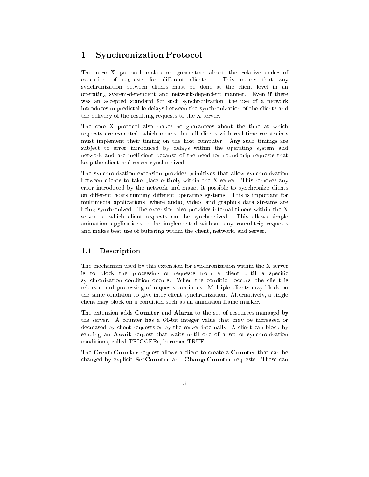#### 1Syn
hronization Proto
ol

The core X protocol makes no guarantees about the relative order of execution of requests for different clients. This means that any synchronization between clients must be done at the client level in an operating system-dependent and network-dependent manner. Even if there was an accepted standard for such synchronization, the use of a network introdu
es unpredi
table delays between the syn
hronization of the lients and the delivery of the resulting requests to the X server.

The core X protocol also makes no guarantees about the time at which requests are exe
uted, whi
h means that all lients with real-time onstraints must implement their timing on the host omputer. Any su
h timings are subject to error introduced by delays within the operating system and network and are inefficient because of the need for round-trip requests that keep the lient and server syn
hronized.

The syn
hronization extension provides primitives that allow syn
hronization between lients to take pla
e entirely within the X server. This removes any error introdu
ed by the network and makes it possible to syn
hronize lients on different hosts running different operating systems. This is important for multimedia applications, where audio, video, and graphics data streams are being syn
hronized. The extension also provides internal timers within the X server to which client requests can be synchronized. This allows simple animation appli
ations to be implemented without any round-trip requests and makes best use of buffering within the client, network, and server.

# 1.1 Des
ription

The me
hanism used by this extension for syn
hronization within the X server is to block the processing of requests from a client until a specific synchronization condition occurs. When the condition occurs, the client is released and pro
essing of requests ontinues. Multiple lients may blo
k on the same ondition to give interlient syn
hronization. Alternatively, a single client may block on a condition such as an animation frame marker.

The extension adds Counter and Alarm to the set of resour
es managed by the server. A counter has a 64-bit integer value that may be increased or decreased by client requests or by the server internally. A client can block by sending an Await request that waits until one of a set of synchronization onditions, alled TRIGGERs, be
omes TRUE.

The CreateCounter request allows a client to create a Counter that can be changed by explicit SetCounter and ChangeCounter requests. These can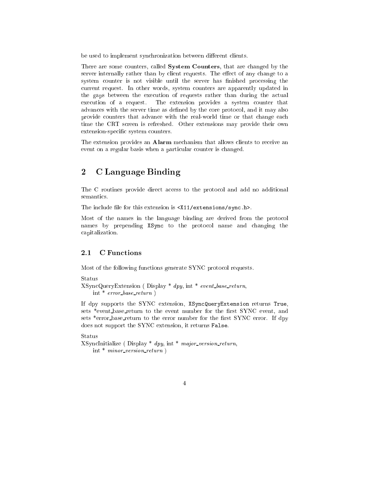be used to implement synchronization between different clients.

There are some counters, called **System Counters**, that are changed by the server internally rather than by client requests. The effect of any change to a system counter is not visible until the server has finished processing the urrent request. In other words, system ounters are apparently updated in the gaps between the execution of requests rather than during the actual execution of a request. The extension provides a system counter that advances with the server time as defined by the core protocol, and it may also provide ounters that advan
e with the real-world time or that hange ea
h time the CRT screen is refreshed. Other extensions may provide their own extension-specific system counters.

The extension provides an **Alarm** mechanism that allows clients to receive an event on a regular basis when a particular counter is changed.

### 2<sup>C</sup> Language Binding

The C routines provide direct access to the protocol and add no additional

The include file for this extension is <X11/extensions/sync.h>.

Most of the names in the language binding are derived from the proto
ol names by prepending XSync to the protocol name and changing the apitalization.

#### 2.1 C Functions

Most of the following fun
tions generate SYNC proto
ol requests.

```
Status
```

```
XSyn
QueryExtension ( Display * dpy, int * event base return,
    int * error_base_return )
```
If dpy supports the SYNC extension, XSyn
QueryExtension returns True, sets \*event\_base\_return to the event number for the first SYNC event, and sets \*error\_base\_return to the error number for the first SYNC error. If dpy does not support the SYNC extension, it returns False.

Status

```
XSynchitialize (Display * dpy, int * major_version_return,
    int * minor version return )
```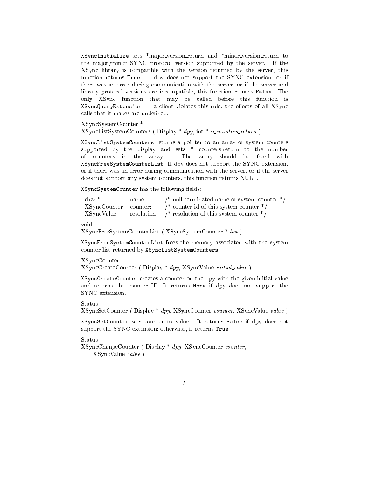XSyn
Initialize sets \*ma jor version return and \*minor version return to the major/minor SYNC protocol version supported by the server. If the XSyn library is ompatible with the version returned by the server, this function returns True. If dpy does not support the SYNC extension, or if there was an error during ommuni
ation with the server, or if the server and library protocol versions are incompatible, this function returns False. The only XSync function that may be called before this function is XSyncQueryExtension. If a client violates this rule, the effects of all XSync calls that it makes are undefined.

XSyncSystemCounter<sup>\*</sup> XSyn
SystemCounter \*  $XSyncListSystemCounters ( Display * *dyn*, int * *n counters_return*)$ 

XSyn
ListSystemCounters returns a pointer to an array of system ounters supported by the display and sets  $*n$ -counters return to the number of ounters in the array. The array should be freed with XSyn
FreeSystemCounterList. If dpy does not support the SYNC extension, or if there was an error during ommuni
ation with the server, or if the server does not support any system counters, this function returns NULL.

XSyncSystemCounter has the following fields:

| char *<br>$\frac{1}{2}$ null-terminated name of system counter $\frac{1}{2}$<br>name: |  |
|---------------------------------------------------------------------------------------|--|
| /* counter id of this system counter $*/$<br>XSyncCounter counter;                    |  |
| resolution; $/*$ resolution of this system counter $*/$<br>XSyncValue                 |  |

void

XSyn
FreeSystemCounterList ( XSyn
SystemCounter \* list )

XSyn
FreeSystemCounterList frees the memory asso
iated with the system ounter list returned by XSyn
ListSystemCounters.

# XSyn
Counter

XSyn
CreateCounter ( Display \* dpy, XSyn
Value initial value )

XSyn
CreateCounter reates a ounter on the dpy with the given initial value and returns the ounter ID. It returns None if dpy does not support the SYNC extension.

Status

XSyn
SetCounter ( Display \* dpy, XSyn
Counter ounter, XSyn
Value value )

XSyn
SetCounter sets ounter to value. It returns False if dpy does not support the SYNC extension; otherwise, it returns True.

Status

XSyn
ChangeCounter ( Display \* dpy, XSyn
Counter ounter, XSyn
Value value )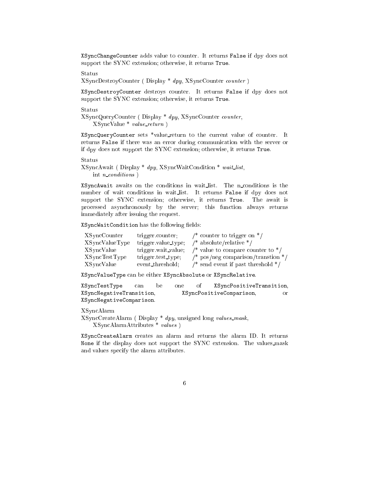XSyn
ChangeCounter adds value to ounter. It returns False if dpy does not support the SYNC extension; otherwise, it returns True.

Status

XSyncDestroyCounter (Display \* dpy, XSyncCounter counter)

XSyn
DestroyCounter destroys ounter. It returns False if dpy does not support the SYNC extension; otherwise, it returns True.

Status

XSyn
QueryCounter ( Display \* dpy, XSyn
Counter ounter, XSyn
Value \* value return )

XSyn
QueryCounter sets \*value return to the urrent value of ounter. It returns False if there was an error during ommuni
ation with the server or if dpy does not support the SYNC extension; otherwise, it returns True.

XSyn
Await ( Display \* dpy, XSyn
WaitCondition \* wait list, int  $n\_conditions$ )

XSyncAwait awaits on the conditions in wait\_list. The n\_conditions is the number of wait conditions in wait\_list. It returns False if dpy does not support the SYNC extension; otherwise, it returns True. The await is pro
essed asyn
hronously by the server; this fun
tion always returns immediately after issuing the request.

XSyncWaitCondition has the following fields:

| XSyncCounter   | trigger.counter;    | $\frac{*}{*}$ counter to trigger on $\frac{*}{*}$ |
|----------------|---------------------|---------------------------------------------------|
| XSyncValueType | trigger value_type; | /* absolute/relative */                           |
| XSyncValue     | trigger wait_value; | /* value to compare counter to $*/$               |
| XSyncTestType  | trigger test_type;  | $\frac{1}{2}$ pos/neg comparison/transtion */     |
| XSyncValue     | event_threshold:    | /* send event if past threshold $*/$              |

XSyn
ValueType an be either XSyn
Absolute or XSyn
Relative.

XSyn
TestType an be one of XSyn
PositiveTransition, XSyn
NegativeTransition, XSyn
PositiveComparison, or XSyn
NegativeComparison.

XSyn
Alarm

XSyn
CreateAlarm ( Display \* dpy, unsigned long values mask, XSyn
AlarmAttributes \* values )

XSyn
CreateAlarm reates an alarm and returns the alarm ID. It returns None if the display does not support the SYNC extension. The values mask and values spe
ify the alarm attributes.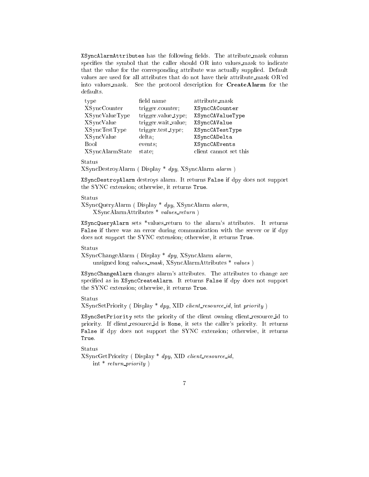XSyncAlarmAttributes has the following fields. The attribute mask column specifies the symbol that the caller should OR into values\_mask to indicate that the value for the orresponding attribute was a
tually supplied. Default values are used for all attributes that do not have their attribute mask OR'ed into values\_mask. See the protocol description for **CreateAlarm** for the defaults.

| type                 | field name          | attribute_mask         |
|----------------------|---------------------|------------------------|
| <b>XSyncCounter</b>  | trigger.counter;    | XSyncCACounter         |
| XSyncValueType       | trigger value_type; | XSyncCAValueType       |
| <b>XSyncValue</b>    | trigger wait_value; | XSyncCAValue           |
| <b>XSyncTestType</b> | trigger.test_type;  | XSyncCATestType        |
| <b>XSyncValue</b>    | delta:              | XSyncCADelta           |
| <b>Bool</b>          | events;             | XSyncCAEvents          |
| XSyncAlarmState      | state:              | client cannot set this |

Status

XSyn
DestroyAlarm ( Display \* dpy, XSyn
Alarm alarm )

XSyn
DestroyAlarm destroys alarm. It returns False if dpy does not support the SYNC extension; otherwise, it returns True.

## Status

```
XSyn
QueryAlarm ( Display * dpy, XSyn
Alarm alarm,
   XSyn
AlarmAttributes * values return )
```
XSyn
QueryAlarm sets \*values return to the alarm's attributes. It returns False if there was an error during ommuni
ation with the server or if dpy does not support the SYNC extension; otherwise, it returns True.

## Status

```
XSyn
ChangeAlarm ( Display * dpy, XSyn
Alarm alarm,
   unsigned long values_mask, XSyncAlarmAttributes * values )
```
XSyn
ChangeAlarm hanges alarm's attributes. The attributes to hange are spe
ied as in XSyn
CreateAlarm. It returns False if dpy does not support the SYNC extension; otherwise, it returns True.

## Status

 $XSyncSetPriority ( Display * *dyny*, XID client-resource_id, int priority)$ 

XSyn
SetPriority sets the priority of the lient owning lient resour
e id to priority. If client\_resource\_id is None, it sets the caller's priority. It returns False if dpy does not support the SYNC extension; otherwise, it returns True.

### Status

```
XSyncGetPriority (Display * dpy, XID client_resource_id,
    int * return_priority)
```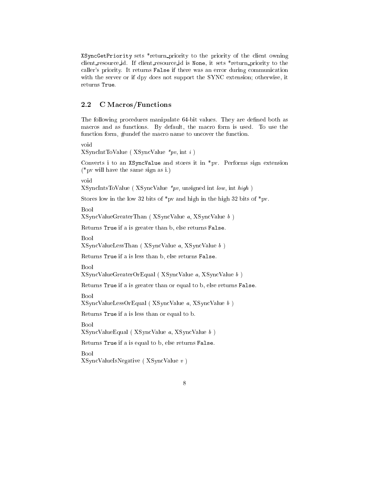XSyn
GetPriority sets \*return priority to the priority of the lient owning client\_resource\_id. If client\_resource\_id is None, it sets \*return\_priority to the caller's priority. It returns False if there was an error during communication with the server or if dpy does not support the SYNC extension; otherwise, it returns True.

# 2.2 C Macros/Functions

The following procedures manipulate 64-bit values. They are defined both as macros and as functions. By default, the macro form is used. To use the function form, #undef the macro name to uncover the function.

 $XSymchtToValue (XSyncValue *pv, int i)$ 

Converts i to an XSyncValue and stores it in \*pv. Performs sign extension (\*pv will have the same sign as i.)

void

XSyn
IntsToValue ( XSyn
Value \*pv, unsigned int low, int high )

Stores low in the low 32 bits of \*pv and high in the high 32 bits of \*pv.

**Bool** 

XSyn
ValueGreaterThan ( XSyn
Value a, XSyn
Value <sup>b</sup> )

Returns True if a is greater than b, else returns False.

Bool

XSyn
ValueLessThan ( XSyn
Value a, XSyn
Value <sup>b</sup> )

Returns True if a is less than b, else returns False.

XSyn
ValueGreaterOrEqual ( XSyn
Value a, XSyn
Value <sup>b</sup> )

Returns True if a is greater than or equal to b, else returns False.

Bool

XSyn
ValueLessOrEqual ( XSyn
Value a, XSyn
Value <sup>b</sup> )

Returns True if a is less than or equal to b.

Bool

 $XS$ yncValueEqual ( $XS$ yncValue a,  $XS$ yncValue b)

Returns True if a is equal to b, else returns False.

Bool

XSyn
ValueIsNegative ( XSyn
Value <sup>v</sup> )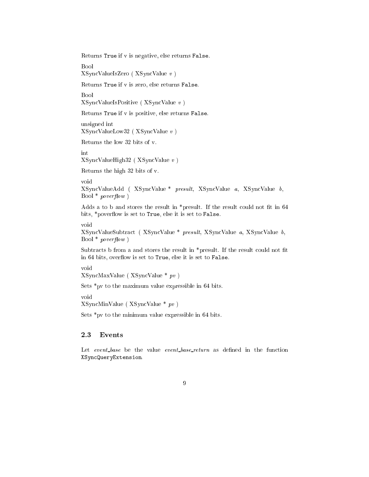Returns True if v is negative, else returns False.

Bool

XSyn
ValueIsZero ( XSyn
Value <sup>v</sup> )

Returns True if v is zero, else returns False.

**Bool** 

XSyn
ValueIsPositive ( XSyn
Value <sup>v</sup> )

Returns True if v is positive, else returns False.

unsigned int XSyn
ValueLow32 ( XSyn
Value <sup>v</sup> )

Returns the low 32 bits of v.

XSyn
ValueHigh32 ( XSyn
Value <sup>v</sup> )

Returns the high 32 bits of v.

void

XSyn
ValueAdd ( XSyn
Value \* presult, XSyn
Value a, XSyn
Value b, Bool  $*$  poverflow)

Adds a to b and stores the result in  $*$ presult. If the result could not fit in 64 bits, \*poverflow is set to True, else it is set to False.

void

XSyn
ValueSubtra
t ( XSyn
Value \* presult, XSyn
Value a, XSyn
Value b, Bool  $*$  poverflow)

Subtracts b from a and stores the result in \*presult. If the result could not fit in 64 bits, overflow is set to True, else it is set to False.

void

XSyn
MaxValue ( XSyn
Value \* pv )

Sets \*pv to the maximum value expressible in 64 bits.

void

XSyn
MinValue ( XSyn
Value \* pv )

Sets \*pv to the minimum value expressible in 64 bits.

# 2.3 Events

Let event\_base be the value event\_base\_return as defined in the function XSyn
QueryExtension.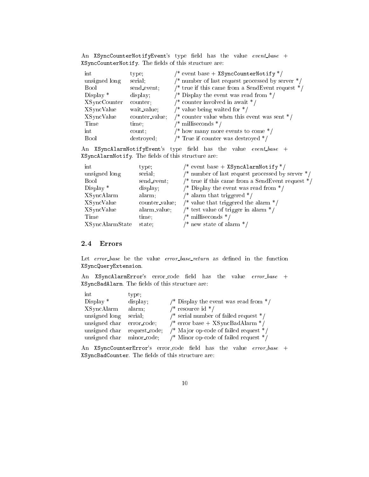| An XSyncCounterNotifyEvent's type field has the value $event\_base +$ |  |  |  |  |
|-----------------------------------------------------------------------|--|--|--|--|
| XSyncCounterNotify. The fields of this structure are:                 |  |  |  |  |

| int                 | type;          | /* event base + XSyncCounterNotify */              |
|---------------------|----------------|----------------------------------------------------|
| unsigned long       | serial         | /* number of last request processed by server $*/$ |
| Bool                | send_event;    | /* true if this came from a SendEvent request $*/$ |
| Display $*$         | display:       | /* Display the event was read from $*/$            |
| <b>XSyncCounter</b> | counter;       | /* counter involved in await $*/$                  |
| <b>XSyncValue</b>   | wait_value;    | /* value being waited for $*/$                     |
| <b>XSyncValue</b>   | counter_value; | /* counter value when this event was sent $*/$     |
| Time                | time.          | $\frac{*}{*}$ milliseconds $\frac{*}{*}$           |
| int                 | count:         | /* how many more events to come $*/$               |
| <b>Bool</b>         | destroyed;     | /* True if counter was destroyed $*/$              |

 $\hspace{0.1 cm}$  An XSyncAlarmNotifyEvent's type field has the value  $\hspace{0.1 cm} event\_base$  + XSyn
AlarmNotify. The elds of this stru
ture are:

| int                    | type:          | $\frac{1}{2}$ event base + XSyncAlarmNotify */     |
|------------------------|----------------|----------------------------------------------------|
| unsigned long          | serial.        | /* number of last request processed by server $*/$ |
| <b>Bool</b>            | send_event;    | /* true if this came from a SendEvent request $*/$ |
| Display $*$            | display;       | /* Display the event was read from $*/$            |
| XSyncAlarm             | alarm;         | $\frac{1}{2}$ alarm that triggered $\frac{1}{2}$   |
| XSyncValue             | counter value; | /* value that triggered the alarm $*/$             |
| XSyncValue             | alarm_value;   | /* test value of trigger in alarm $*/$             |
| Time                   | time;          | $\frac{1}{2}$ milliseconds $\frac{1}{2}$           |
| <b>XSyncAlarmState</b> | state;         | $\frac{1}{2}$ new state of alarm $\frac{k}{2}$     |

# 2.4 Errors

Let error\_base be the value error\_base\_return as defined in the function XSyn
QueryExtension.

An XSyncAlarmError's error\_code field has the value error\_base + XSyncBadAlarm. The fields of this structure are:

| int           | type:         |                                         |
|---------------|---------------|-----------------------------------------|
| Display $*$   | display:      | /* Display the event was read from $*/$ |
| XSyncAlarm    | alarm;        | /* resource id */                       |
| unsigned long | serial.       | /* serial number of failed request $*/$ |
| unsigned char | error_code;   | $/*$ error base + XSyncBadAlarm $*/$    |
| unsigned char | request_code; | /* Major op-code of failed request $*/$ |
| unsigned char | minor_code;   | /* Minor op-code of failed request $*/$ |

An XSyncCounterError's error\_code field has the value error\_base + XSyncBadCounter. The fields of this structure are:

10